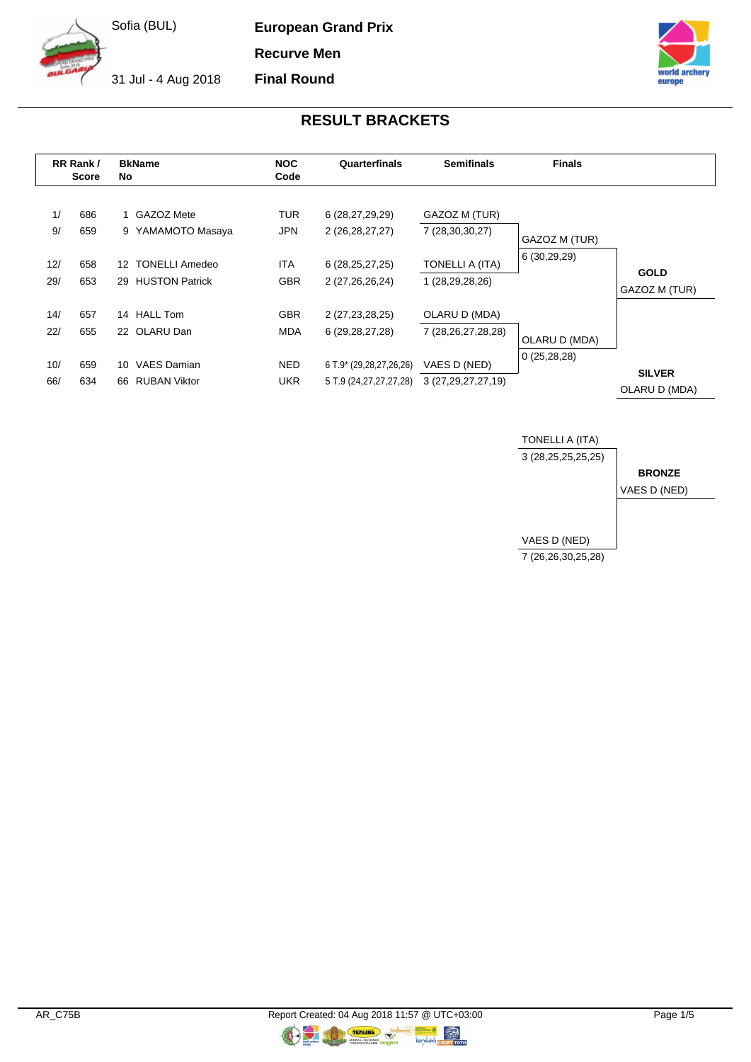**European Grand Prix**

**Recurve Men**

**Final Round**

31 Jul - 4 Aug 2018



# **RESULT BRACKETS**

|            | RR Rank/<br><b>Score</b> | <b>BkName</b><br>No                                    | <b>NOC</b><br>Code       | Quarterfinals                                     | <b>Semifinals</b>                      | <b>Finals</b> |                                |
|------------|--------------------------|--------------------------------------------------------|--------------------------|---------------------------------------------------|----------------------------------------|---------------|--------------------------------|
| 1/<br>9/   | 686<br>659               | 1 GAZOZ Mete<br>9 YAMAMOTO Masaya                      | <b>TUR</b><br>JPN        | 6 (28,27,29,29)<br>2 (26,28,27,27)                | GAZOZ M (TUR)<br>7 (28,30,30,27)       | GAZOZ M (TUR) |                                |
| 12/<br>29/ | 658<br>653               | 12 TONELLI Amedeo<br>29 HUSTON Patrick                 | <b>ITA</b><br><b>GBR</b> | 6(28, 25, 27, 25)<br>2 (27,26,26,24)              | TONELLI A (ITA)<br>1 (28,29,28,26)     | 6 (30,29,29)  | <b>GOLD</b><br>GAZOZ M (TUR)   |
| 14/<br>22/ | 657<br>655               | 14 HALL Tom<br>22 OLARU Dan                            | <b>GBR</b><br>MDA        | 2 (27,23,28,25)<br>6 (29,28,27,28)                | OLARU D (MDA)<br>7 (28,26,27,28,28)    | OLARU D (MDA) |                                |
| 10/<br>66/ | 659<br>634               | <b>VAES Damian</b><br>10.<br><b>RUBAN Viktor</b><br>66 | <b>NED</b><br><b>UKR</b> | 6 T.9* (29,28,27,26,26)<br>5 T.9 (24,27,27,27,28) | VAES D (NED)<br>3 (27, 29, 27, 27, 19) | 0(25, 28, 28) | <b>SILVER</b><br>OLARU D (MDA) |



 $\circledR$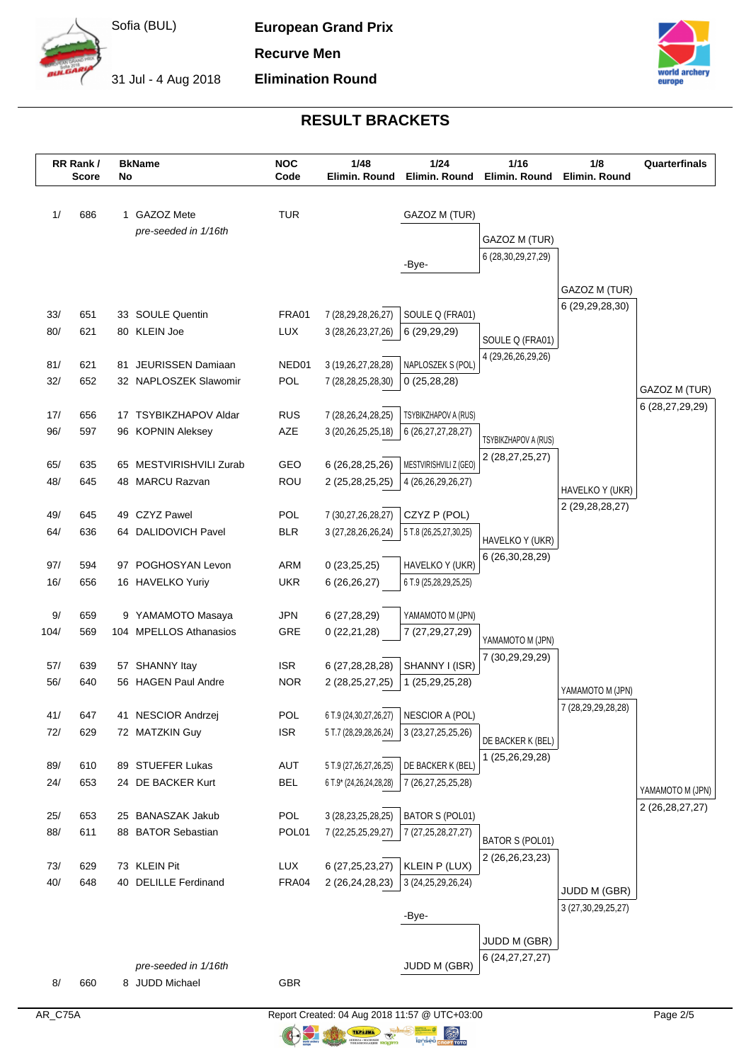

**European Grand Prix**

**Elimination Round**

**Recurve Men**

31 Jul - 4 Aug 2018



# **RESULT BRACKETS**

|            | RR Rank/<br><b>Score</b> | No | <b>BkName</b>                                 | <b>NOC</b><br>Code  | 1/48<br>Elimin. Round                            | 1/24<br>Elimin, Round                     | 1/16<br>Elimin. Round  | 1/8<br>Elimin. Round                   | Quarterfinals      |
|------------|--------------------------|----|-----------------------------------------------|---------------------|--------------------------------------------------|-------------------------------------------|------------------------|----------------------------------------|--------------------|
| 1/         | 686                      |    | 1 GAZOZ Mete                                  | <b>TUR</b>          |                                                  | GAZOZ M (TUR)                             |                        |                                        |                    |
|            |                          |    | pre-seeded in 1/16th                          |                     |                                                  |                                           | GAZOZ M (TUR)          |                                        |                    |
|            |                          |    |                                               |                     |                                                  |                                           | 6 (28, 30, 29, 27, 29) |                                        |                    |
|            |                          |    |                                               |                     |                                                  | -Bye-                                     |                        |                                        |                    |
|            |                          |    |                                               |                     |                                                  |                                           |                        | GAZOZ M (TUR)                          |                    |
| 33/        | 651                      |    | 33 SOULE Quentin                              | <b>FRA01</b>        | 7 (28,29,28,26,27)                               | SOULE Q (FRA01)                           |                        | 6 (29, 29, 28, 30)                     |                    |
| 80/        | 621                      |    | 80 KLEIN Joe                                  | <b>LUX</b>          | 3 (28, 26, 23, 27, 26)                           | 6 (29,29,29)                              | SOULE Q (FRA01)        |                                        |                    |
|            |                          |    |                                               |                     |                                                  |                                           | 4 (29,26,26,29,26)     |                                        |                    |
| 81/<br>32/ | 621<br>652               |    | 81 JEURISSEN Damiaan<br>32 NAPLOSZEK Slawomir | NED01<br><b>POL</b> | 3 (19,26,27,28,28)                               | NAPLOSZEK S (POL)                         |                        |                                        |                    |
|            |                          |    |                                               |                     | 7 (28,28,25,28,30)                               | 0(25, 28, 28)                             |                        |                                        | GAZOZ M (TUR)      |
| 17/        | 656                      |    | 17 TSYBIKZHAPOV Aldar                         | <b>RUS</b>          | 7 (28, 26, 24, 28, 25)                           | TSYBIKZHAPOV A (RUS)                      |                        |                                        | 6 (28,27,29,29)    |
| 96/        | 597                      |    | 96 KOPNIN Aleksey                             | AZE                 | 3 (20, 26, 25, 25, 18)                           | 6 (26, 27, 27, 28, 27)                    | TSYBIKZHAPOV A (RUS)   |                                        |                    |
|            |                          |    |                                               |                     |                                                  |                                           | 2 (28,27,25,27)        |                                        |                    |
| 65/        | 635                      |    | 65 MESTVIRISHVILI Zurab                       | GEO                 | 6 (26,28,25,26)                                  | MESTVIRISHVILI Z (GEO)                    |                        |                                        |                    |
| 48/        | 645                      |    | 48 MARCU Razvan                               | ROU                 | 2 (25,28,25,25)                                  | 4 (26,26,29,26,27)                        |                        | HAVELKO Y (UKR)                        |                    |
| 49/        | 645                      | 49 | <b>CZYZ Pawel</b>                             | <b>POL</b>          | 7 (30,27,26,28,27)                               | CZYZ P (POL)                              |                        | 2 (29, 28, 28, 27)                     |                    |
| 64/        | 636                      |    | 64 DALIDOVICH Pavel                           | <b>BLR</b>          | 3 (27,28,26,26,24)                               | 5 T.8 (26,25,27,30,25)                    |                        |                                        |                    |
|            |                          |    |                                               |                     |                                                  |                                           | HAVELKO Y (UKR)        |                                        |                    |
| 97/        | 594                      |    | 97 POGHOSYAN Levon                            | <b>ARM</b>          | 0(23,25,25)                                      | HAVELKO Y (UKR)                           | 6 (26,30,28,29)        |                                        |                    |
| 16/        | 656                      |    | 16 HAVELKO Yuriy                              | <b>UKR</b>          | 6(26, 26, 27)                                    | 6 T.9 (25,28,29,25,25)                    |                        |                                        |                    |
| 9/         | 659                      |    | 9 YAMAMOTO Masaya                             | <b>JPN</b>          | 6 (27,28,29)                                     | YAMAMOTO M (JPN)                          |                        |                                        |                    |
| 104/       | 569                      |    | 104 MPELLOS Athanasios                        | GRE                 | 0(22,21,28)                                      | 7 (27, 29, 27, 29)                        |                        |                                        |                    |
|            |                          |    |                                               |                     |                                                  |                                           | YAMAMOTO M (JPN)       |                                        |                    |
| 57/        | 639                      |    | 57 SHANNY Itay                                | <b>ISR</b>          | 6 (27,28,28,28)                                  | SHANNY I (ISR)                            | 7 (30,29,29,29)        |                                        |                    |
| 56/        | 640                      |    | 56 HAGEN Paul Andre                           | <b>NOR</b>          | 2 (28,25,27,25)                                  | 1 (25,29,25,28)                           |                        | YAMAMOTO M (JPN)                       |                    |
|            |                          |    |                                               |                     |                                                  |                                           |                        | 7 (28,29,29,28,28)                     |                    |
| 41/<br>72/ | 647<br>629               |    | 41 NESCIOR Andrzej<br>72 MATZKIN Guy          | POL<br><b>ISR</b>   | 6 T.9 (24,30,27,26,27)<br>5 T.7 (28,29,28,26,24) | NESCIOR A (POL)<br>3 (23, 27, 25, 25, 26) |                        |                                        |                    |
|            |                          |    |                                               |                     |                                                  |                                           | DE BACKER K (BEL)      |                                        |                    |
| 89/        | 610                      |    | 89 STUEFER Lukas                              | AUT                 | 5 T.9 (27,26,27,26,25)                           | DE BACKER K (BEL)                         | 1 (25,26,29,28)        |                                        |                    |
| 24/        | 653                      |    | 24 DE BACKER Kurt                             | <b>BEL</b>          | 6 T.9* (24,26,24,28,28)                          | 7 (26, 27, 25, 25, 28)                    |                        |                                        | YAMAMOTO M (JPN)   |
|            |                          |    |                                               |                     |                                                  |                                           |                        |                                        | 2 (26, 28, 27, 27) |
| 25/        | 653                      |    | 25 BANASZAK Jakub                             | POL                 | 3 (28, 23, 25, 28, 25)                           | BATOR S (POL01)                           |                        |                                        |                    |
| 88/        | 611                      |    | 88 BATOR Sebastian                            | POL01               | 7 (22, 25, 25, 29, 27)                           | 7 (27, 25, 28, 27, 27)                    | <b>BATOR S (POL01)</b> |                                        |                    |
| 73/        | 629                      |    | 73 KLEIN Pit                                  | <b>LUX</b>          | 6 (27, 25, 23, 27)                               | KLEIN P (LUX)                             | 2 (26, 26, 23, 23)     |                                        |                    |
| 40/        | 648                      |    | 40 DELILLE Ferdinand                          | FRA04               | 2 (26,24,28,23)                                  | 3 (24, 25, 29, 26, 24)                    |                        |                                        |                    |
|            |                          |    |                                               |                     |                                                  |                                           |                        | JUDD M (GBR)<br>3 (27, 30, 29, 25, 27) |                    |
|            |                          |    |                                               |                     |                                                  | -Bye-                                     |                        |                                        |                    |
|            |                          |    |                                               |                     |                                                  |                                           | JUDD M (GBR)           |                                        |                    |
|            |                          |    | pre-seeded in 1/16th                          |                     |                                                  | JUDD M (GBR)                              | 6 (24, 27, 27, 27)     |                                        |                    |
| 8/         | 660                      |    | 8 JUDD Michael                                | GBR                 |                                                  |                                           |                        |                                        |                    |
|            |                          |    |                                               |                     |                                                  |                                           |                        |                                        |                    |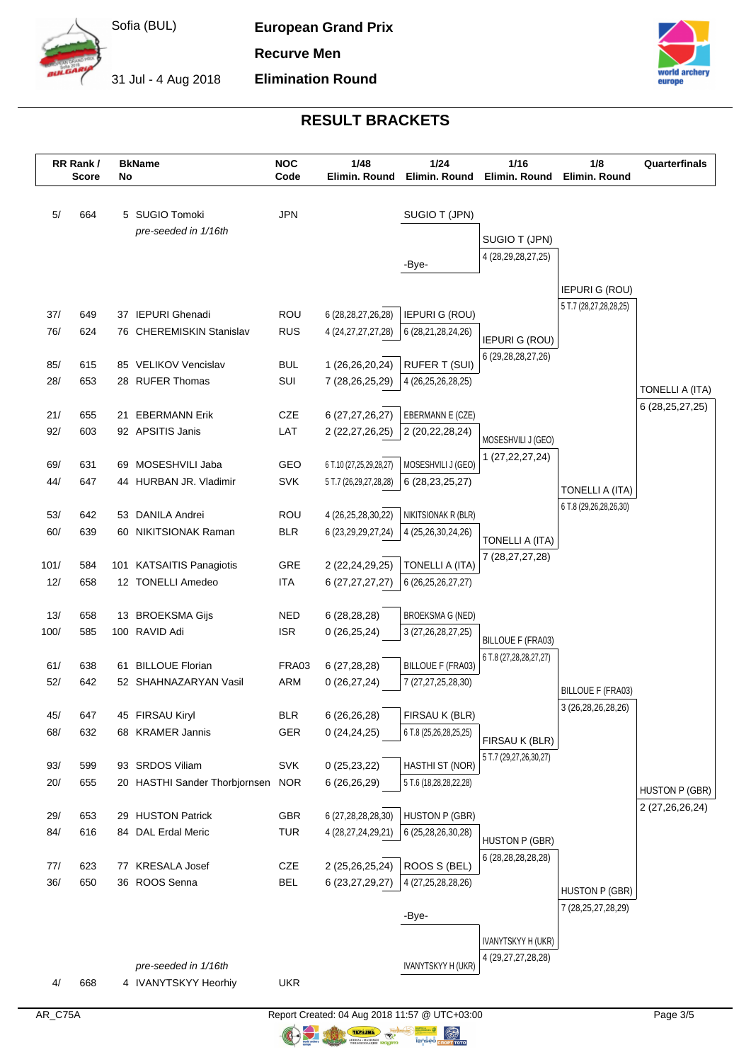

**European Grand Prix**

**Elimination Round**

**Recurve Men**

31 Jul - 4 Aug 2018



# **RESULT BRACKETS**

|             | RR Rank/<br><b>Score</b> | No | <b>BkName</b>                     | <b>NOC</b><br>Code       | 1/48<br>Elimin. Round   | 1/24<br>Elimin. Round    | $1/16$<br>Elimin. Round    | 1/8<br>Elimin, Round                            | Quarterfinals      |
|-------------|--------------------------|----|-----------------------------------|--------------------------|-------------------------|--------------------------|----------------------------|-------------------------------------------------|--------------------|
|             |                          |    |                                   |                          |                         |                          |                            |                                                 |                    |
| 5/          | 664                      |    | 5 SUGIO Tomoki                    | <b>JPN</b>               |                         | SUGIO T (JPN)            |                            |                                                 |                    |
|             |                          |    | pre-seeded in 1/16th              |                          |                         |                          | SUGIO T (JPN)              |                                                 |                    |
|             |                          |    |                                   |                          |                         | -Bye-                    | 4 (28, 29, 28, 27, 25)     |                                                 |                    |
|             |                          |    |                                   |                          |                         |                          |                            |                                                 |                    |
|             |                          |    |                                   |                          |                         |                          |                            | <b>IEPURI G (ROU)</b><br>5 T.7 (28,27,28,28,25) |                    |
| 37/         | 649                      |    | 37 IEPURI Ghenadi                 | <b>ROU</b>               | 6 (28, 28, 27, 26, 28)  | <b>IEPURI G (ROU)</b>    |                            |                                                 |                    |
| 76/         | 624                      |    | 76 CHEREMISKIN Stanislav          | <b>RUS</b>               | 4 (24, 27, 27, 27, 28)  | 6 (28,21,28,24,26)       | <b>IEPURI G (ROU)</b>      |                                                 |                    |
| 85/         | 615                      |    | 85 VELIKOV Vencislav              | <b>BUL</b>               | 1 (26,26,20,24)         | <b>RUFER T (SUI)</b>     | 6 (29, 28, 28, 27, 26)     |                                                 |                    |
| 28/         | 653                      |    | 28 RUFER Thomas                   | SUI                      | 7 (28,26,25,29)         | 4 (26,25,26,28,25)       |                            |                                                 |                    |
|             |                          |    |                                   |                          |                         |                          |                            |                                                 | TONELLI A (ITA)    |
| 21/         | 655                      | 21 | <b>EBERMANN Erik</b>              | CZE                      | 6 (27,27,26,27)         | EBERMANN E (CZE)         |                            |                                                 | 6 (28, 25, 27, 25) |
| 92/         | 603                      |    | 92 APSITIS Janis                  | LAT                      | 2 (22,27,26,25)         | 2 (20,22,28,24)          | MOSESHVILI J (GEO)         |                                                 |                    |
|             |                          |    |                                   |                          |                         |                          | 1 (27, 22, 27, 24)         |                                                 |                    |
| 69/         | 631                      |    | 69 MOSESHVILI Jaba                | GEO                      | 6 T.10 (27,25,29,28,27) | MOSESHVILI J (GEO)       |                            |                                                 |                    |
| 44/         | 647                      |    | 44 HURBAN JR. Vladimir            | <b>SVK</b>               | 5 T.7 (26,29,27,28,28)  | 6 (28, 23, 25, 27)       |                            | TONELLI A (ITA)                                 |                    |
| 53/         | 642                      |    | 53 DANILA Andrei                  | ROU                      | 4 (26,25,28,30,22)      | NIKITSIONAK R (BLR)      |                            | 6 T.8 (29,26,28,26,30)                          |                    |
| 60/         | 639                      |    | 60 NIKITSIONAK Raman              | <b>BLR</b>               | 6 (23, 29, 29, 27, 24)  | 4 (25,26,30,24,26)       |                            |                                                 |                    |
|             |                          |    |                                   |                          |                         |                          | TONELLI A (ITA)            |                                                 |                    |
| 101/        | 584                      |    | 101 KATSAITIS Panagiotis          | GRE                      | 2 (22,24,29,25)         | <b>TONELLI A (ITA)</b>   | 7 (28, 27, 27, 28)         |                                                 |                    |
| 12/         | 658                      |    | 12 TONELLI Amedeo                 | <b>ITA</b>               | 6(27, 27, 27, 27)       | 6 (26,25,26,27,27)       |                            |                                                 |                    |
|             |                          |    |                                   |                          |                         |                          |                            |                                                 |                    |
| 13/<br>100/ | 658<br>585               |    | 13 BROEKSMA Gijs<br>100 RAVID Adi | <b>NED</b><br><b>ISR</b> | 6(28, 28, 28)           | <b>BROEKSMA G (NED)</b>  |                            |                                                 |                    |
|             |                          |    |                                   |                          | 0(26, 25, 24)           | 3 (27,26,28,27,25)       | <b>BILLOUE F (FRA03)</b>   |                                                 |                    |
| 61/         | 638                      | 61 | <b>BILLOUE Florian</b>            | FRA03                    | 6(27, 28, 28)           | <b>BILLOUE F (FRA03)</b> | 6 T.8 (27, 28, 28, 27, 27) |                                                 |                    |
| 52/         | 642                      |    | 52 SHAHNAZARYAN Vasil             | <b>ARM</b>               | 0(26, 27, 24)           | 7 (27,27,25,28,30)       |                            |                                                 |                    |
|             |                          |    |                                   |                          |                         |                          |                            | <b>BILLOUE F (FRA03)</b><br>3 (26,28,26,28,26)  |                    |
| 45/         | 647                      |    | 45 FIRSAU Kiryl                   | <b>BLR</b>               | 6 (26,26,28)            | FIRSAU K (BLR)           |                            |                                                 |                    |
| 68/         | 632                      |    | 68 KRAMER Jannis                  | <b>GER</b>               | 0(24,24,25)             | 6 T.8 (25,26,28,25,25)   | FIRSAU K (BLR)             |                                                 |                    |
|             | 599                      |    | 93 SRDOS Viliam                   | SVK                      | 0(25, 23, 22)           | HASTHI ST (NOR)          | 5 T.7 (29,27,26,30,27)     |                                                 |                    |
| 93/<br>20/  | 655                      |    | 20 HASTHI Sander Thorbjornsen     | <b>NOR</b>               | 6(26,26,29)             | 5 T.6 (18,28,28,22,28)   |                            |                                                 |                    |
|             |                          |    |                                   |                          |                         |                          |                            |                                                 | HUSTON P (GBR)     |
| 29/         | 653                      |    | 29 HUSTON Patrick                 | GBR                      | 6 (27,28,28,28,30)      | HUSTON P (GBR)           |                            |                                                 | 2 (27,26,26,24)    |
| 84/         | 616                      |    | 84 DAL Erdal Meric                | <b>TUR</b>               | 4 (28,27,24,29,21)      | 6 (25,28,26,30,28)       | <b>HUSTON P (GBR)</b>      |                                                 |                    |
|             |                          |    |                                   |                          |                         |                          | 6 (28, 28, 28, 28, 28)     |                                                 |                    |
| 77/         | 623                      |    | 77 KRESALA Josef                  | CZE                      | 2 (25,26,25,24)         | ROOS S (BEL)             |                            |                                                 |                    |
| 36/         | 650                      |    | 36 ROOS Senna                     | <b>BEL</b>               | 6 (23,27,29,27)         | 4 (27, 25, 28, 28, 26)   |                            | <b>HUSTON P (GBR)</b>                           |                    |
|             |                          |    |                                   |                          |                         | -Bye-                    |                            | 7 (28,25,27,28,29)                              |                    |
|             |                          |    |                                   |                          |                         |                          |                            |                                                 |                    |
|             |                          |    |                                   |                          |                         |                          | IVANYTSKYY H (UKR)         |                                                 |                    |
|             |                          |    | pre-seeded in 1/16th              |                          |                         | IVANYTSKYY H (UKR)       | 4 (29, 27, 27, 28, 28)     |                                                 |                    |
| 4/          | 668                      |    | 4 IVANYTSKYY Heorhiy              | <b>UKR</b>               |                         |                          |                            |                                                 |                    |
|             |                          |    |                                   |                          |                         |                          |                            |                                                 |                    |

**ORIGINAL**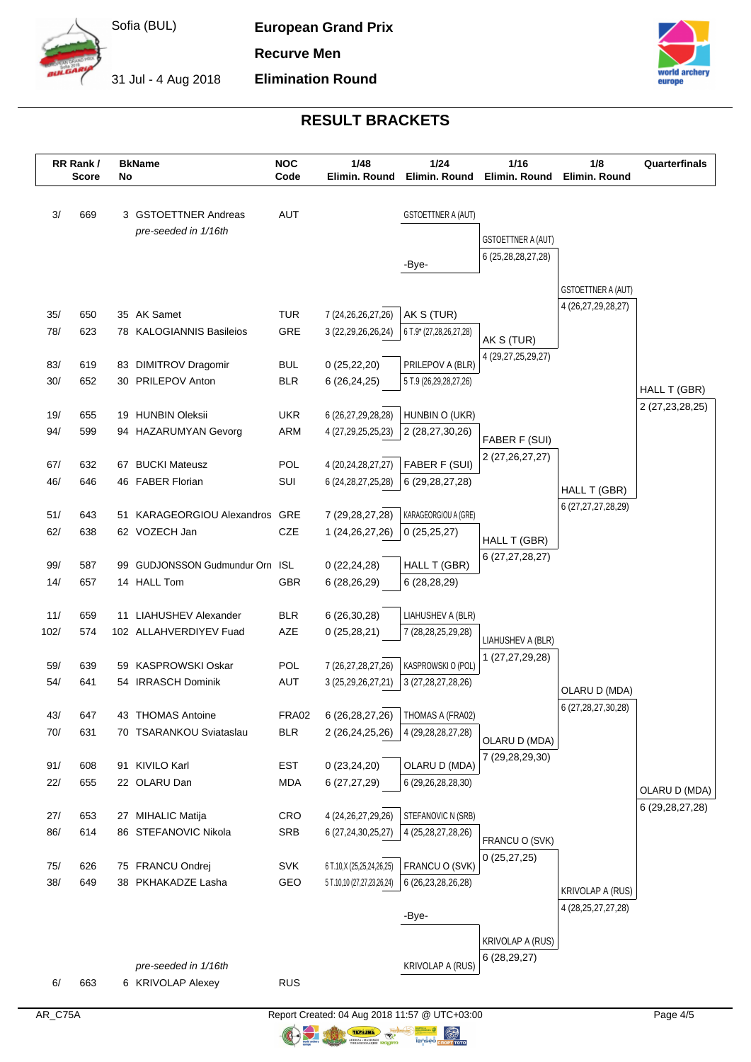

**European Grand Prix**

**Elimination Round**

**Recurve Men**

31 Jul - 4 Aug 2018



# **RESULT BRACKETS**

|            | RR Rank/<br><b>Score</b> | No | <b>BkName</b>                                  | <b>NOC</b><br>Code       | 1/48<br>Elimin. Round                        | 1/24<br>Elimin. Round                      | 1/16<br>Elimin. Round     | 1/8<br>Elimin. Round   | Quarterfinals      |
|------------|--------------------------|----|------------------------------------------------|--------------------------|----------------------------------------------|--------------------------------------------|---------------------------|------------------------|--------------------|
|            |                          |    |                                                |                          |                                              |                                            |                           |                        |                    |
| 3/         | 669                      |    | 3 GSTOETTNER Andreas                           | <b>AUT</b>               |                                              | <b>GSTOETTNER A (AUT)</b>                  |                           |                        |                    |
|            |                          |    | pre-seeded in 1/16th                           |                          |                                              |                                            | <b>GSTOETTNER A (AUT)</b> |                        |                    |
|            |                          |    |                                                |                          |                                              |                                            | 6 (25,28,28,27,28)        |                        |                    |
|            |                          |    |                                                |                          |                                              | -Bye-                                      |                           |                        |                    |
|            |                          |    |                                                |                          |                                              |                                            |                           | GSTOETTNER A (AUT)     |                    |
| 35/        | 650                      |    | 35 AK Samet                                    | <b>TUR</b>               | 7 (24, 26, 26, 27, 26)                       | AK S (TUR)                                 |                           | 4 (26,27,29,28,27)     |                    |
| 78/        | 623                      |    | 78 KALOGIANNIS Basileios                       | GRE                      | 3 (22,29,26,26,24)                           | 6 T.9* (27,28,26,27,28)                    | AK S (TUR)                |                        |                    |
|            |                          |    |                                                |                          |                                              |                                            | 4 (29,27,25,29,27)        |                        |                    |
| 83/<br>30/ | 619<br>652               |    | 83 DIMITROV Dragomir<br>30 PRILEPOV Anton      | <b>BUL</b><br><b>BLR</b> | 0(25, 22, 20)<br>6(26, 24, 25)               | PRILEPOV A (BLR)<br>5 T.9 (26,29,28,27,26) |                           |                        |                    |
|            |                          |    |                                                |                          |                                              |                                            |                           |                        | HALL T (GBR)       |
| 19/        | 655                      |    | 19 HUNBIN Oleksii                              | <b>UKR</b>               | 6 (26,27,29,28,28)                           | HUNBIN O (UKR)                             |                           |                        | 2 (27, 23, 28, 25) |
| 94/        | 599                      |    | 94 HAZARUMYAN Gevorg                           | ARM                      | 4 (27, 29, 25, 25, 23)                       | 2 (28,27,30,26)                            | FABER F (SUI)             |                        |                    |
|            |                          |    |                                                |                          |                                              |                                            | 2 (27, 26, 27, 27)        |                        |                    |
| 67/<br>46/ | 632<br>646               |    | 67 BUCKI Mateusz<br>46 FABER Florian           | POL<br>SUI               | 4 (20,24,28,27,27)<br>6 (24, 28, 27, 25, 28) | FABER F (SUI)<br>6 (29, 28, 27, 28)        |                           |                        |                    |
|            |                          |    |                                                |                          |                                              |                                            |                           | HALL T (GBR)           |                    |
| 51/        | 643                      |    | 51 KARAGEORGIOU Alexandros GRE                 |                          | 7 (29, 28, 27, 28)                           | KARAGEORGIOU A (GRE)                       |                           | 6 (27,27,27,28,29)     |                    |
| 62/        | 638                      |    | 62 VOZECH Jan                                  | CZE                      | 1 (24,26,27,26)                              | 0(25,25,27)                                | HALL T (GBR)              |                        |                    |
|            |                          |    |                                                |                          |                                              |                                            | 6 (27,27,28,27)           |                        |                    |
| 99/<br>14/ | 587<br>657               |    | 99 GUDJONSSON Gudmundur Orn ISL<br>14 HALL Tom | GBR                      | 0(22, 24, 28)<br>6 (28,26,29)                | HALL T (GBR)<br>6(28, 28, 29)              |                           |                        |                    |
|            |                          |    |                                                |                          |                                              |                                            |                           |                        |                    |
| 11/        | 659                      |    | 11 LIAHUSHEV Alexander                         | <b>BLR</b>               | 6(26,30,28)                                  | LIAHUSHEV A (BLR)                          |                           |                        |                    |
| 102/       | 574                      |    | 102 ALLAHVERDIYEV Fuad                         | AZE                      | 0(25, 28, 21)                                | 7 (28, 28, 25, 29, 28)                     | LIAHUSHEV A (BLR)         |                        |                    |
| 59/        | 639                      | 59 | KASPROWSKI Oskar                               | POL                      |                                              | KASPROWSKI O (POL)                         | 1 (27,27,29,28)           |                        |                    |
| 54/        | 641                      |    | 54 IRRASCH Dominik                             | AUT                      | 7 (26,27,28,27,26)<br>3 (25,29,26,27,21)     | 3 (27, 28, 27, 28, 26)                     |                           |                        |                    |
|            |                          |    |                                                |                          |                                              |                                            |                           | OLARU D (MDA)          |                    |
| 43/        | 647                      |    | 43 THOMAS Antoine                              | <b>FRA02</b>             | 6 (26,28,27,26)                              | THOMAS A (FRA02)                           |                           | 6 (27,28,27,30,28)     |                    |
| 70/        | 631                      |    | 70 TSARANKOU Sviataslau                        | <b>BLR</b>               | 2 (26,24,25,26)                              | 4 (29, 28, 28, 27, 28)                     | OLARU D (MDA)             |                        |                    |
| 91/        | 608                      |    | 91 KIVILO Karl                                 | <b>EST</b>               | 0(23, 24, 20)                                | OLARU D (MDA)                              | 7 (29,28,29,30)           |                        |                    |
| 22/        | 655                      |    | 22 OLARU Dan                                   | <b>MDA</b>               | 6 (27,27,29)                                 | 6 (29,26,28,28,30)                         |                           |                        |                    |
|            |                          |    |                                                |                          |                                              |                                            |                           |                        | OLARU D (MDA)      |
| 27/        | 653                      |    | 27 MIHALIC Matija                              | CRO                      | 4 (24, 26, 27, 29, 26)                       | STEFANOVIC N (SRB)                         |                           |                        | 6 (29, 28, 27, 28) |
| 86/        | 614                      |    | 86 STEFANOVIC Nikola                           | SRB                      | 6 (27,24,30,25,27)                           | 4 (25, 28, 27, 28, 26)                     | FRANCU O (SVK)            |                        |                    |
| 75/        | 626                      |    | 75 FRANCU Ondrej                               | SVK                      | 6 T.10, X (25, 25, 24, 26, 25)               | FRANCU O (SVK)                             | 0(25, 27, 25)             |                        |                    |
| 38/        | 649                      |    | 38 PKHAKADZE Lasha                             | GEO                      | 5 T.10,10 (27,27,23,26,24)                   | 6 (26, 23, 28, 26, 28)                     |                           |                        |                    |
|            |                          |    |                                                |                          |                                              |                                            |                           | KRIVOLAP A (RUS)       |                    |
|            |                          |    |                                                |                          |                                              | -Bye-                                      |                           | 4 (28, 25, 27, 27, 28) |                    |
|            |                          |    |                                                |                          |                                              |                                            | KRIVOLAP A (RUS)          |                        |                    |
|            |                          |    | pre-seeded in 1/16th                           |                          |                                              | <b>KRIVOLAP A (RUS)</b>                    | 6(28, 29, 27)             |                        |                    |
| 6/         | 663                      |    | 6 KRIVOLAP Alexey                              | <b>RUS</b>               |                                              |                                            |                           |                        |                    |

**ORIGINAL**